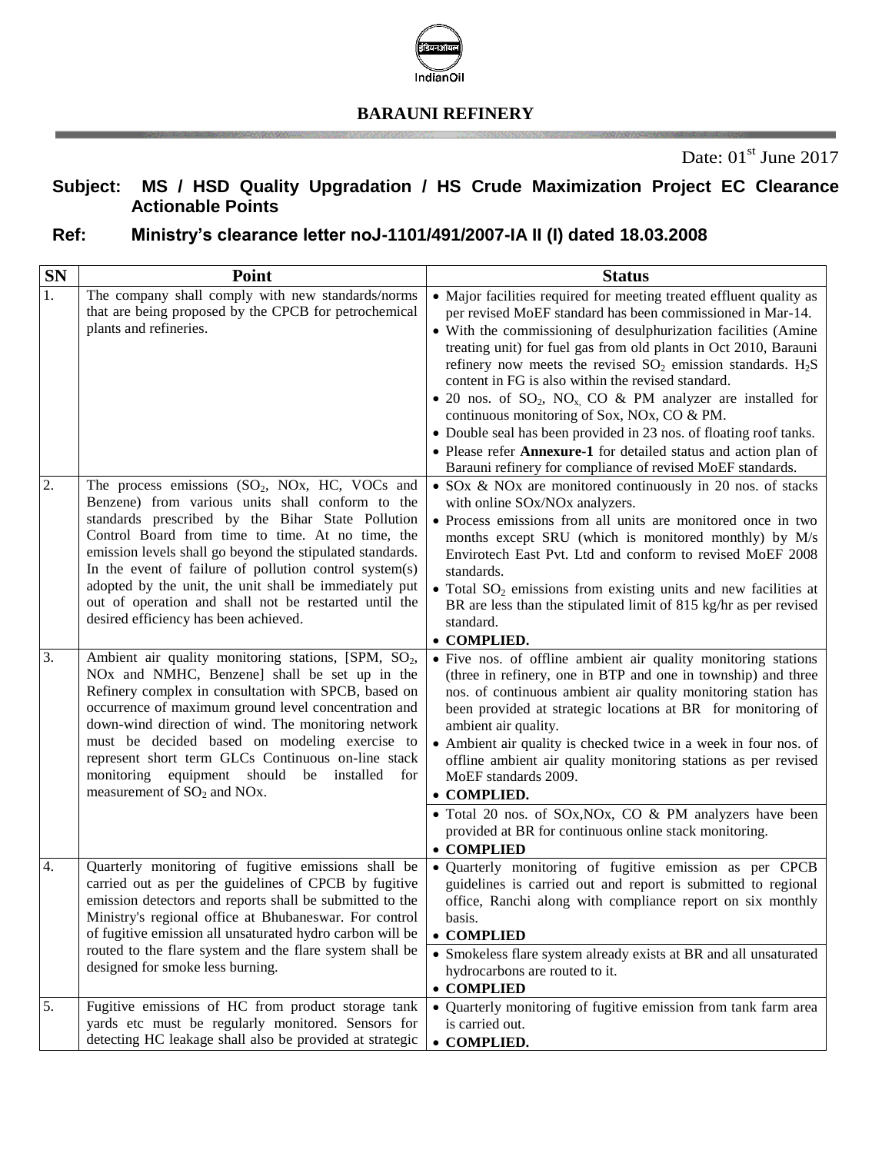

#### **BARAUNI REFINERY**

### **Subject: MS / HSD Quality Upgradation / HS Crude Maximization Project EC Clearance Actionable Points**

## **Ref: Ministry's clearance letter noJ-1101/491/2007-IA II (I) dated 18.03.2008**

| SN               | Point                                                                                                                                                                                                                                                                                                                                                                                                                                                                                            | <b>Status</b>                                                                                                                                                                                                                                                                                                                                                                                                                                                                                                                                                                                                                                                                                                                     |
|------------------|--------------------------------------------------------------------------------------------------------------------------------------------------------------------------------------------------------------------------------------------------------------------------------------------------------------------------------------------------------------------------------------------------------------------------------------------------------------------------------------------------|-----------------------------------------------------------------------------------------------------------------------------------------------------------------------------------------------------------------------------------------------------------------------------------------------------------------------------------------------------------------------------------------------------------------------------------------------------------------------------------------------------------------------------------------------------------------------------------------------------------------------------------------------------------------------------------------------------------------------------------|
| 1.               | The company shall comply with new standards/norms<br>that are being proposed by the CPCB for petrochemical<br>plants and refineries.                                                                                                                                                                                                                                                                                                                                                             | • Major facilities required for meeting treated effluent quality as<br>per revised MoEF standard has been commissioned in Mar-14.<br>• With the commissioning of desulphurization facilities (Amine<br>treating unit) for fuel gas from old plants in Oct 2010, Barauni<br>refinery now meets the revised $SO_2$ emission standards. $H_2S$<br>content in FG is also within the revised standard.<br>• 20 nos. of $SO_2$ , $NO_{x}$ , $CO$ & PM analyzer are installed for<br>continuous monitoring of Sox, NOx, CO & PM.<br>• Double seal has been provided in 23 nos. of floating roof tanks.<br>• Please refer Annexure-1 for detailed status and action plan of<br>Barauni refinery for compliance of revised MoEF standards. |
| 2.               | The process emissions $(SO_2, NOx, HC, VOCs$ and<br>Benzene) from various units shall conform to the<br>standards prescribed by the Bihar State Pollution<br>Control Board from time to time. At no time, the<br>emission levels shall go beyond the stipulated standards.<br>In the event of failure of pollution control system(s)<br>adopted by the unit, the unit shall be immediately put<br>out of operation and shall not be restarted until the<br>desired efficiency has been achieved. | • SOx & NOx are monitored continuously in 20 nos. of stacks<br>with online SOx/NOx analyzers.<br>• Process emissions from all units are monitored once in two<br>months except SRU (which is monitored monthly) by M/s<br>Envirotech East Pvt. Ltd and conform to revised MoEF 2008<br>standards.<br>• Total $SO_2$ emissions from existing units and new facilities at<br>BR are less than the stipulated limit of 815 kg/hr as per revised<br>standard.<br>• COMPLIED.                                                                                                                                                                                                                                                          |
| 3.               | Ambient air quality monitoring stations, [SPM, SO <sub>2</sub> ,<br>NO <sub>x</sub> and NMHC, Benzene] shall be set up in the<br>Refinery complex in consultation with SPCB, based on<br>occurrence of maximum ground level concentration and<br>down-wind direction of wind. The monitoring network<br>must be decided based on modeling exercise to<br>represent short term GLCs Continuous on-line stack<br>monitoring equipment should be installed<br>for<br>measurement of $SO_2$ and NOx. | · Five nos. of offline ambient air quality monitoring stations<br>(three in refinery, one in BTP and one in township) and three<br>nos. of continuous ambient air quality monitoring station has<br>been provided at strategic locations at BR for monitoring of<br>ambient air quality.<br>• Ambient air quality is checked twice in a week in four nos. of<br>offline ambient air quality monitoring stations as per revised<br>MoEF standards 2009.<br>• COMPLIED.<br>• Total 20 nos. of SOx, NOx, CO & PM analyzers have been<br>provided at BR for continuous online stack monitoring.<br>• COMPLIED                                                                                                                         |
| $\overline{4}$ . | Quarterly monitoring of fugitive emissions shall be<br>carried out as per the guidelines of CPCB by fugitive<br>emission detectors and reports shall be submitted to the<br>Ministry's regional office at Bhubaneswar. For control<br>of fugitive emission all unsaturated hydro carbon will be<br>routed to the flare system and the flare system shall be<br>designed for smoke less burning.                                                                                                  | · Quarterly monitoring of fugitive emission as per CPCB<br>guidelines is carried out and report is submitted to regional<br>office, Ranchi along with compliance report on six monthly<br>basis.<br>• COMPLIED<br>• Smokeless flare system already exists at BR and all unsaturated<br>hydrocarbons are routed to it.<br>• COMPLIED                                                                                                                                                                                                                                                                                                                                                                                               |
| 5.               | Fugitive emissions of HC from product storage tank<br>yards etc must be regularly monitored. Sensors for<br>detecting HC leakage shall also be provided at strategic                                                                                                                                                                                                                                                                                                                             | • Quarterly monitoring of fugitive emission from tank farm area<br>is carried out.<br>• COMPLIED.                                                                                                                                                                                                                                                                                                                                                                                                                                                                                                                                                                                                                                 |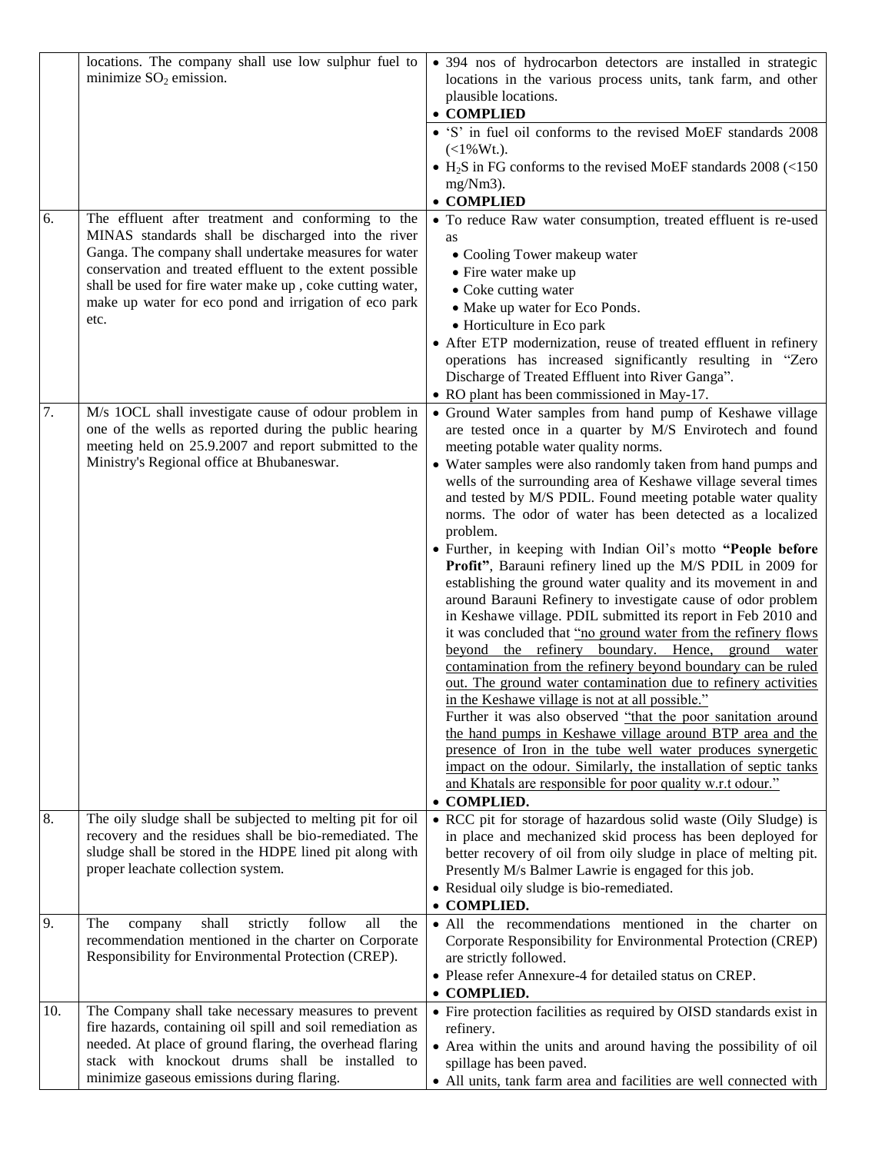| 6.  | locations. The company shall use low sulphur fuel to<br>minimize $SO_2$ emission.<br>The effluent after treatment and conforming to the<br>MINAS standards shall be discharged into the river<br>Ganga. The company shall undertake measures for water                          | • 394 nos of hydrocarbon detectors are installed in strategic<br>locations in the various process units, tank farm, and other<br>plausible locations.<br>• COMPLIED<br>• 'S' in fuel oil conforms to the revised MoEF standards 2008<br>$(<1\%Wt$ .<br>$\bullet$ H <sub>2</sub> S in FG conforms to the revised MoEF standards 2008 (<150)<br>$mg/Nm3$ ).<br>• COMPLIED<br>• To reduce Raw water consumption, treated effluent is re-used<br>as<br>• Cooling Tower makeup water                                                                                                                                                                                                                                                                                                                                                                                                                                                                                                                                                                                                                                                                                                                                                                                                                                                                                                                                                         |
|-----|---------------------------------------------------------------------------------------------------------------------------------------------------------------------------------------------------------------------------------------------------------------------------------|-----------------------------------------------------------------------------------------------------------------------------------------------------------------------------------------------------------------------------------------------------------------------------------------------------------------------------------------------------------------------------------------------------------------------------------------------------------------------------------------------------------------------------------------------------------------------------------------------------------------------------------------------------------------------------------------------------------------------------------------------------------------------------------------------------------------------------------------------------------------------------------------------------------------------------------------------------------------------------------------------------------------------------------------------------------------------------------------------------------------------------------------------------------------------------------------------------------------------------------------------------------------------------------------------------------------------------------------------------------------------------------------------------------------------------------------|
|     | conservation and treated effluent to the extent possible<br>shall be used for fire water make up, coke cutting water,<br>make up water for eco pond and irrigation of eco park<br>etc.                                                                                          | • Fire water make up<br>• Coke cutting water<br>• Make up water for Eco Ponds.<br>• Horticulture in Eco park<br>• After ETP modernization, reuse of treated effluent in refinery<br>operations has increased significantly resulting in "Zero<br>Discharge of Treated Effluent into River Ganga".<br>• RO plant has been commissioned in May-17.                                                                                                                                                                                                                                                                                                                                                                                                                                                                                                                                                                                                                                                                                                                                                                                                                                                                                                                                                                                                                                                                                        |
| 7.  | M/s 1OCL shall investigate cause of odour problem in<br>one of the wells as reported during the public hearing<br>meeting held on 25.9.2007 and report submitted to the<br>Ministry's Regional office at Bhubaneswar.                                                           | • Ground Water samples from hand pump of Keshawe village<br>are tested once in a quarter by M/S Envirotech and found<br>meeting potable water quality norms.<br>• Water samples were also randomly taken from hand pumps and<br>wells of the surrounding area of Keshawe village several times<br>and tested by M/S PDIL. Found meeting potable water quality<br>norms. The odor of water has been detected as a localized<br>problem.<br>• Further, in keeping with Indian Oil's motto "People before<br>Profit", Barauni refinery lined up the M/S PDIL in 2009 for<br>establishing the ground water quality and its movement in and<br>around Barauni Refinery to investigate cause of odor problem<br>in Keshawe village. PDIL submitted its report in Feb 2010 and<br>it was concluded that "no ground water from the refinery flows"<br>beyond the refinery boundary. Hence, ground water<br>contamination from the refinery beyond boundary can be ruled<br>out. The ground water contamination due to refinery activities<br>in the Keshawe village is not at all possible."<br>Further it was also observed "that the poor sanitation around<br>the hand pumps in Keshawe village around BTP area and the<br>presence of Iron in the tube well water produces synergetic<br>impact on the odour. Similarly, the installation of septic tanks<br>and Khatals are responsible for poor quality w.r.t odour."<br><b>COMPLIED.</b> |
| 8.  | The oily sludge shall be subjected to melting pit for oil<br>recovery and the residues shall be bio-remediated. The<br>sludge shall be stored in the HDPE lined pit along with<br>proper leachate collection system.                                                            | • RCC pit for storage of hazardous solid waste (Oily Sludge) is<br>in place and mechanized skid process has been deployed for<br>better recovery of oil from oily sludge in place of melting pit.<br>Presently M/s Balmer Lawrie is engaged for this job.<br>• Residual oily sludge is bio-remediated.<br>• COMPLIED.                                                                                                                                                                                                                                                                                                                                                                                                                                                                                                                                                                                                                                                                                                                                                                                                                                                                                                                                                                                                                                                                                                                   |
| 9.  | follow<br>The<br>shall<br>strictly<br>all<br>the<br>company<br>recommendation mentioned in the charter on Corporate<br>Responsibility for Environmental Protection (CREP).                                                                                                      | • All the recommendations mentioned in the charter on<br>Corporate Responsibility for Environmental Protection (CREP)<br>are strictly followed.<br>• Please refer Annexure-4 for detailed status on CREP.<br>• COMPLIED.                                                                                                                                                                                                                                                                                                                                                                                                                                                                                                                                                                                                                                                                                                                                                                                                                                                                                                                                                                                                                                                                                                                                                                                                                |
| 10. | The Company shall take necessary measures to prevent<br>fire hazards, containing oil spill and soil remediation as<br>needed. At place of ground flaring, the overhead flaring<br>stack with knockout drums shall be installed to<br>minimize gaseous emissions during flaring. | • Fire protection facilities as required by OISD standards exist in<br>refinery.<br>• Area within the units and around having the possibility of oil<br>spillage has been paved.<br>• All units, tank farm area and facilities are well connected with                                                                                                                                                                                                                                                                                                                                                                                                                                                                                                                                                                                                                                                                                                                                                                                                                                                                                                                                                                                                                                                                                                                                                                                  |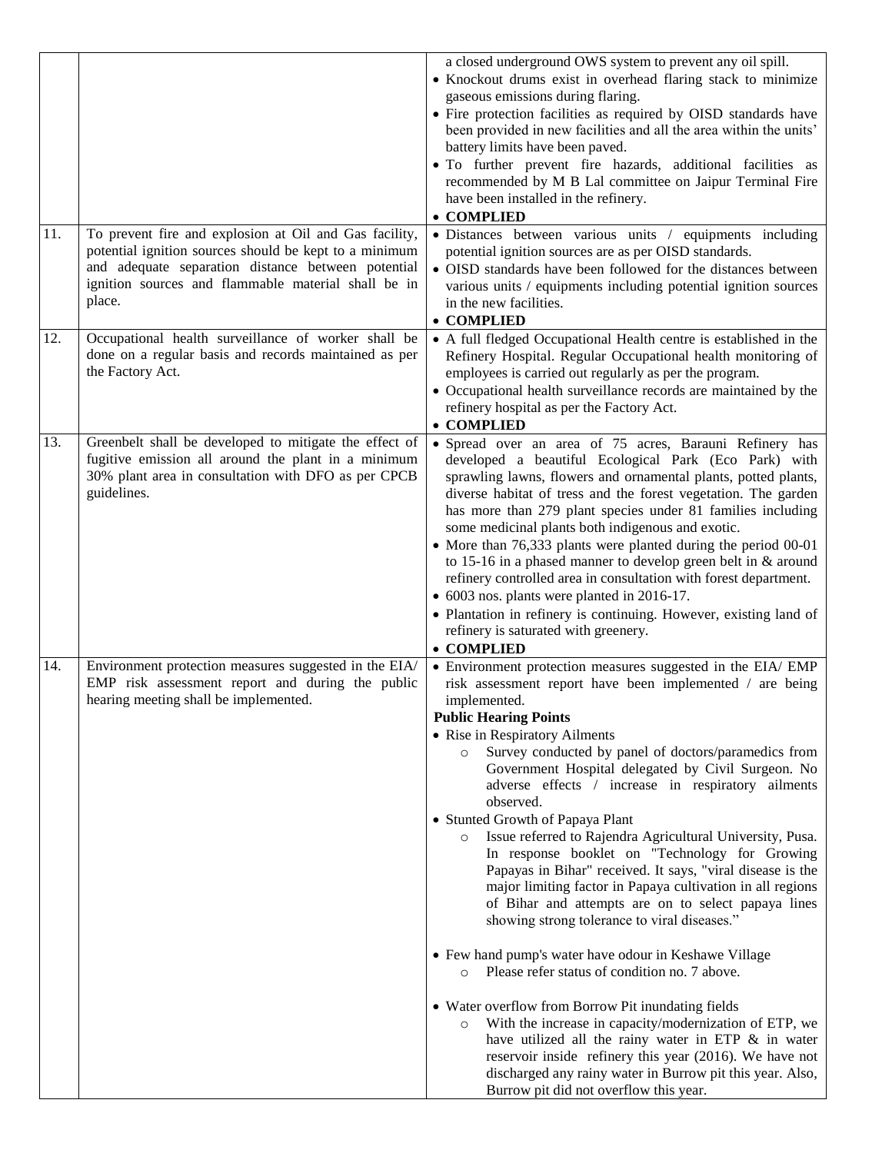| 11. | To prevent fire and explosion at Oil and Gas facility,                                                                                                                              | a closed underground OWS system to prevent any oil spill.<br>• Knockout drums exist in overhead flaring stack to minimize<br>gaseous emissions during flaring.<br>• Fire protection facilities as required by OISD standards have<br>been provided in new facilities and all the area within the units'<br>battery limits have been paved.<br>· To further prevent fire hazards, additional facilities as<br>recommended by M B Lal committee on Jaipur Terminal Fire<br>have been installed in the refinery.<br>• COMPLIED<br>· Distances between various units / equipments including                                                                                                                                                                                                                                                                                                                                                                                                                                                                                                                                                                                                                                                                             |
|-----|-------------------------------------------------------------------------------------------------------------------------------------------------------------------------------------|---------------------------------------------------------------------------------------------------------------------------------------------------------------------------------------------------------------------------------------------------------------------------------------------------------------------------------------------------------------------------------------------------------------------------------------------------------------------------------------------------------------------------------------------------------------------------------------------------------------------------------------------------------------------------------------------------------------------------------------------------------------------------------------------------------------------------------------------------------------------------------------------------------------------------------------------------------------------------------------------------------------------------------------------------------------------------------------------------------------------------------------------------------------------------------------------------------------------------------------------------------------------|
|     | potential ignition sources should be kept to a minimum<br>and adequate separation distance between potential<br>ignition sources and flammable material shall be in<br>place.       | potential ignition sources are as per OISD standards.<br>• OISD standards have been followed for the distances between<br>various units / equipments including potential ignition sources<br>in the new facilities.<br>• COMPLIED                                                                                                                                                                                                                                                                                                                                                                                                                                                                                                                                                                                                                                                                                                                                                                                                                                                                                                                                                                                                                                   |
| 12. | Occupational health surveillance of worker shall be<br>done on a regular basis and records maintained as per<br>the Factory Act.                                                    | • A full fledged Occupational Health centre is established in the<br>Refinery Hospital. Regular Occupational health monitoring of<br>employees is carried out regularly as per the program.<br>• Occupational health surveillance records are maintained by the<br>refinery hospital as per the Factory Act.<br>• COMPLIED                                                                                                                                                                                                                                                                                                                                                                                                                                                                                                                                                                                                                                                                                                                                                                                                                                                                                                                                          |
| 13. | Greenbelt shall be developed to mitigate the effect of<br>fugitive emission all around the plant in a minimum<br>30% plant area in consultation with DFO as per CPCB<br>guidelines. | • Spread over an area of 75 acres, Barauni Refinery has<br>developed a beautiful Ecological Park (Eco Park) with<br>sprawling lawns, flowers and ornamental plants, potted plants,<br>diverse habitat of tress and the forest vegetation. The garden<br>has more than 279 plant species under 81 families including<br>some medicinal plants both indigenous and exotic.<br>• More than 76,333 plants were planted during the period 00-01<br>to 15-16 in a phased manner to develop green belt in $&$ around<br>refinery controlled area in consultation with forest department.<br>• 6003 nos. plants were planted in 2016-17.<br>• Plantation in refinery is continuing. However, existing land of<br>refinery is saturated with greenery.<br>• COMPLIED                                                                                                                                                                                                                                                                                                                                                                                                                                                                                                         |
| 14. | Environment protection measures suggested in the EIA/<br>EMP risk assessment report and during the public<br>hearing meeting shall be implemented.                                  | • Environment protection measures suggested in the EIA/EMP<br>risk assessment report have been implemented / are being<br>implemented.<br><b>Public Hearing Points</b><br>• Rise in Respiratory Ailments<br>Survey conducted by panel of doctors/paramedics from<br>Government Hospital delegated by Civil Surgeon. No<br>adverse effects / increase in respiratory ailments<br>observed.<br>• Stunted Growth of Papaya Plant<br>Issue referred to Rajendra Agricultural University, Pusa.<br>$\circ$<br>In response booklet on "Technology for Growing<br>Papayas in Bihar" received. It says, "viral disease is the<br>major limiting factor in Papaya cultivation in all regions<br>of Bihar and attempts are on to select papaya lines<br>showing strong tolerance to viral diseases."<br>• Few hand pump's water have odour in Keshawe Village<br>Please refer status of condition no. 7 above.<br>$\circ$<br>• Water overflow from Borrow Pit inundating fields<br>With the increase in capacity/modernization of ETP, we<br>$\circ$<br>have utilized all the rainy water in ETP & in water<br>reservoir inside refinery this year (2016). We have not<br>discharged any rainy water in Burrow pit this year. Also,<br>Burrow pit did not overflow this year. |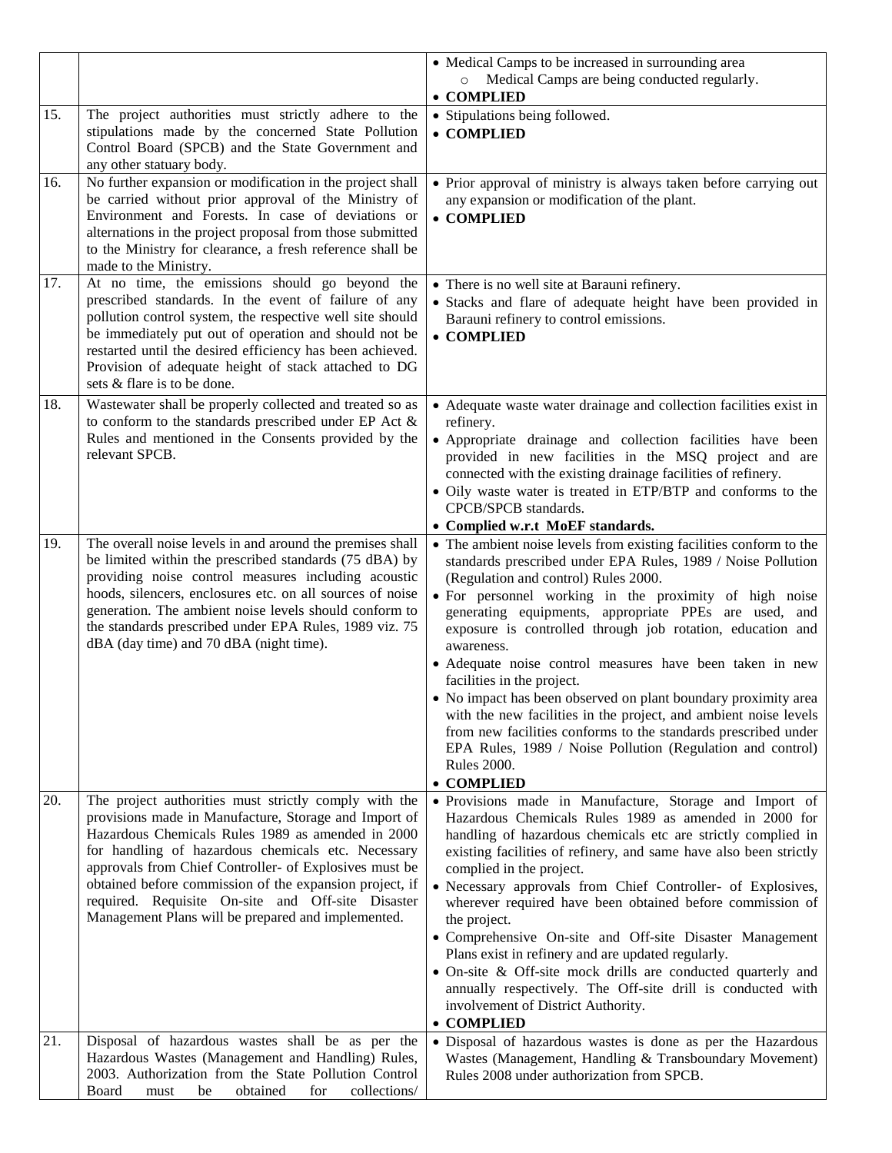|     |                                                                                                                                                                                                                                                                                                                                                                                                                                                           | • Medical Camps to be increased in surrounding area<br>Medical Camps are being conducted regularly.<br>$\circ$<br>• COMPLIED                                                                                                                                                                                                                                                                                                                                                                                                                                                                                                                                                                                                                                                  |
|-----|-----------------------------------------------------------------------------------------------------------------------------------------------------------------------------------------------------------------------------------------------------------------------------------------------------------------------------------------------------------------------------------------------------------------------------------------------------------|-------------------------------------------------------------------------------------------------------------------------------------------------------------------------------------------------------------------------------------------------------------------------------------------------------------------------------------------------------------------------------------------------------------------------------------------------------------------------------------------------------------------------------------------------------------------------------------------------------------------------------------------------------------------------------------------------------------------------------------------------------------------------------|
| 15. | The project authorities must strictly adhere to the<br>stipulations made by the concerned State Pollution<br>Control Board (SPCB) and the State Government and<br>any other statuary body.                                                                                                                                                                                                                                                                | • Stipulations being followed.<br>• COMPLIED                                                                                                                                                                                                                                                                                                                                                                                                                                                                                                                                                                                                                                                                                                                                  |
| 16. | No further expansion or modification in the project shall<br>be carried without prior approval of the Ministry of<br>Environment and Forests. In case of deviations or<br>alternations in the project proposal from those submitted<br>to the Ministry for clearance, a fresh reference shall be<br>made to the Ministry.                                                                                                                                 | • Prior approval of ministry is always taken before carrying out<br>any expansion or modification of the plant.<br>• COMPLIED                                                                                                                                                                                                                                                                                                                                                                                                                                                                                                                                                                                                                                                 |
| 17. | At no time, the emissions should go beyond the<br>prescribed standards. In the event of failure of any<br>pollution control system, the respective well site should<br>be immediately put out of operation and should not be<br>restarted until the desired efficiency has been achieved.<br>Provision of adequate height of stack attached to DG<br>sets & flare is to be done.                                                                          | • There is no well site at Barauni refinery.<br>• Stacks and flare of adequate height have been provided in<br>Barauni refinery to control emissions.<br>• COMPLIED                                                                                                                                                                                                                                                                                                                                                                                                                                                                                                                                                                                                           |
| 18. | Wastewater shall be properly collected and treated so as<br>to conform to the standards prescribed under EP Act &<br>Rules and mentioned in the Consents provided by the<br>relevant SPCB.                                                                                                                                                                                                                                                                | • Adequate waste water drainage and collection facilities exist in<br>refinery.<br>• Appropriate drainage and collection facilities have been<br>provided in new facilities in the MSQ project and are<br>connected with the existing drainage facilities of refinery.<br>• Oily waste water is treated in ETP/BTP and conforms to the<br>CPCB/SPCB standards.<br>• Complied w.r.t MoEF standards.                                                                                                                                                                                                                                                                                                                                                                            |
| 19. | The overall noise levels in and around the premises shall<br>be limited within the prescribed standards (75 dBA) by<br>providing noise control measures including acoustic<br>hoods, silencers, enclosures etc. on all sources of noise<br>generation. The ambient noise levels should conform to<br>the standards prescribed under EPA Rules, 1989 viz. 75<br>dBA (day time) and 70 dBA (night time).                                                    | • The ambient noise levels from existing facilities conform to the<br>standards prescribed under EPA Rules, 1989 / Noise Pollution<br>(Regulation and control) Rules 2000.<br>• For personnel working in the proximity of high noise<br>generating equipments, appropriate PPEs are used, and<br>exposure is controlled through job rotation, education and<br>awareness.<br>• Adequate noise control measures have been taken in new<br>facilities in the project.<br>• No impact has been observed on plant boundary proximity area<br>with the new facilities in the project, and ambient noise levels<br>from new facilities conforms to the standards prescribed under<br>EPA Rules, 1989 / Noise Pollution (Regulation and control)<br><b>Rules 2000.</b><br>• COMPLIED |
| 20. | The project authorities must strictly comply with the<br>provisions made in Manufacture, Storage and Import of<br>Hazardous Chemicals Rules 1989 as amended in 2000<br>for handling of hazardous chemicals etc. Necessary<br>approvals from Chief Controller- of Explosives must be<br>obtained before commission of the expansion project, if<br>required. Requisite On-site and Off-site Disaster<br>Management Plans will be prepared and implemented. | · Provisions made in Manufacture, Storage and Import of<br>Hazardous Chemicals Rules 1989 as amended in 2000 for<br>handling of hazardous chemicals etc are strictly complied in<br>existing facilities of refinery, and same have also been strictly<br>complied in the project.<br>• Necessary approvals from Chief Controller- of Explosives,<br>wherever required have been obtained before commission of<br>the project.<br>• Comprehensive On-site and Off-site Disaster Management<br>Plans exist in refinery and are updated regularly.<br>• On-site & Off-site mock drills are conducted quarterly and<br>annually respectively. The Off-site drill is conducted with<br>involvement of District Authority.<br>• COMPLIED                                            |
| 21. | Disposal of hazardous wastes shall be as per the<br>Hazardous Wastes (Management and Handling) Rules,<br>2003. Authorization from the State Pollution Control<br>collections/<br>Board<br>obtained<br>for<br>must<br>be                                                                                                                                                                                                                                   | · Disposal of hazardous wastes is done as per the Hazardous<br>Wastes (Management, Handling & Transboundary Movement)<br>Rules 2008 under authorization from SPCB.                                                                                                                                                                                                                                                                                                                                                                                                                                                                                                                                                                                                            |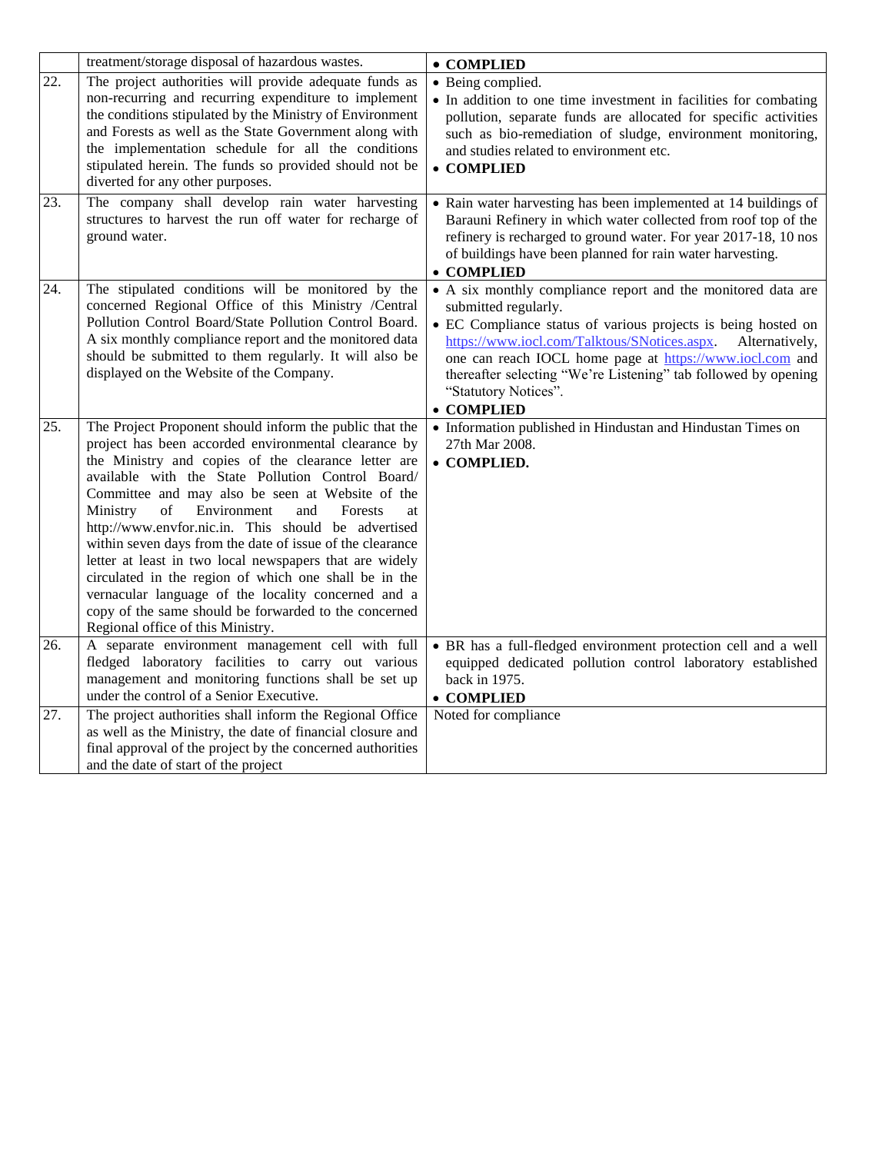|     | treatment/storage disposal of hazardous wastes.                                                                                                                                                                                                                                                                                                                                                                                                                                                                                                                                                                                                                                                                                       | • COMPLIED                                                                                                                                                                                                                                                                                                                                                                                  |  |
|-----|---------------------------------------------------------------------------------------------------------------------------------------------------------------------------------------------------------------------------------------------------------------------------------------------------------------------------------------------------------------------------------------------------------------------------------------------------------------------------------------------------------------------------------------------------------------------------------------------------------------------------------------------------------------------------------------------------------------------------------------|---------------------------------------------------------------------------------------------------------------------------------------------------------------------------------------------------------------------------------------------------------------------------------------------------------------------------------------------------------------------------------------------|--|
| 22. | The project authorities will provide adequate funds as<br>non-recurring and recurring expenditure to implement<br>the conditions stipulated by the Ministry of Environment<br>and Forests as well as the State Government along with<br>the implementation schedule for all the conditions<br>stipulated herein. The funds so provided should not be<br>diverted for any other purposes.                                                                                                                                                                                                                                                                                                                                              | • Being complied.<br>• In addition to one time investment in facilities for combating<br>pollution, separate funds are allocated for specific activities<br>such as bio-remediation of sludge, environment monitoring,<br>and studies related to environment etc.<br>• COMPLIED                                                                                                             |  |
| 23. | The company shall develop rain water harvesting<br>structures to harvest the run off water for recharge of<br>ground water.                                                                                                                                                                                                                                                                                                                                                                                                                                                                                                                                                                                                           | • Rain water harvesting has been implemented at 14 buildings of<br>Barauni Refinery in which water collected from roof top of the<br>refinery is recharged to ground water. For year 2017-18, 10 nos<br>of buildings have been planned for rain water harvesting.<br>• COMPLIED                                                                                                             |  |
| 24. | The stipulated conditions will be monitored by the<br>concerned Regional Office of this Ministry /Central<br>Pollution Control Board/State Pollution Control Board.<br>A six monthly compliance report and the monitored data<br>should be submitted to them regularly. It will also be<br>displayed on the Website of the Company.                                                                                                                                                                                                                                                                                                                                                                                                   | • A six monthly compliance report and the monitored data are<br>submitted regularly.<br>• EC Compliance status of various projects is being hosted on<br>https://www.iocl.com/Talktous/SNotices.aspx.<br>Alternatively,<br>one can reach IOCL home page at https://www.iocl.com and<br>thereafter selecting "We're Listening" tab followed by opening<br>"Statutory Notices".<br>• COMPLIED |  |
| 25. | The Project Proponent should inform the public that the<br>project has been accorded environmental clearance by<br>the Ministry and copies of the clearance letter are<br>available with the State Pollution Control Board/<br>Committee and may also be seen at Website of the<br>Ministry<br>of<br>Environment<br>and<br>Forests<br>at<br>http://www.envfor.nic.in. This should be advertised<br>within seven days from the date of issue of the clearance<br>letter at least in two local newspapers that are widely<br>circulated in the region of which one shall be in the<br>vernacular language of the locality concerned and a<br>copy of the same should be forwarded to the concerned<br>Regional office of this Ministry. | • Information published in Hindustan and Hindustan Times on<br>27th Mar 2008.<br>• COMPLIED.                                                                                                                                                                                                                                                                                                |  |
| 26. | A separate environment management cell with full<br>fledged laboratory facilities to carry out various<br>management and monitoring functions shall be set up<br>under the control of a Senior Executive.                                                                                                                                                                                                                                                                                                                                                                                                                                                                                                                             | · BR has a full-fledged environment protection cell and a well<br>equipped dedicated pollution control laboratory established<br>back in 1975.<br>• COMPLIED                                                                                                                                                                                                                                |  |
| 27. | The project authorities shall inform the Regional Office<br>as well as the Ministry, the date of financial closure and<br>final approval of the project by the concerned authorities<br>and the date of start of the project                                                                                                                                                                                                                                                                                                                                                                                                                                                                                                          | Noted for compliance                                                                                                                                                                                                                                                                                                                                                                        |  |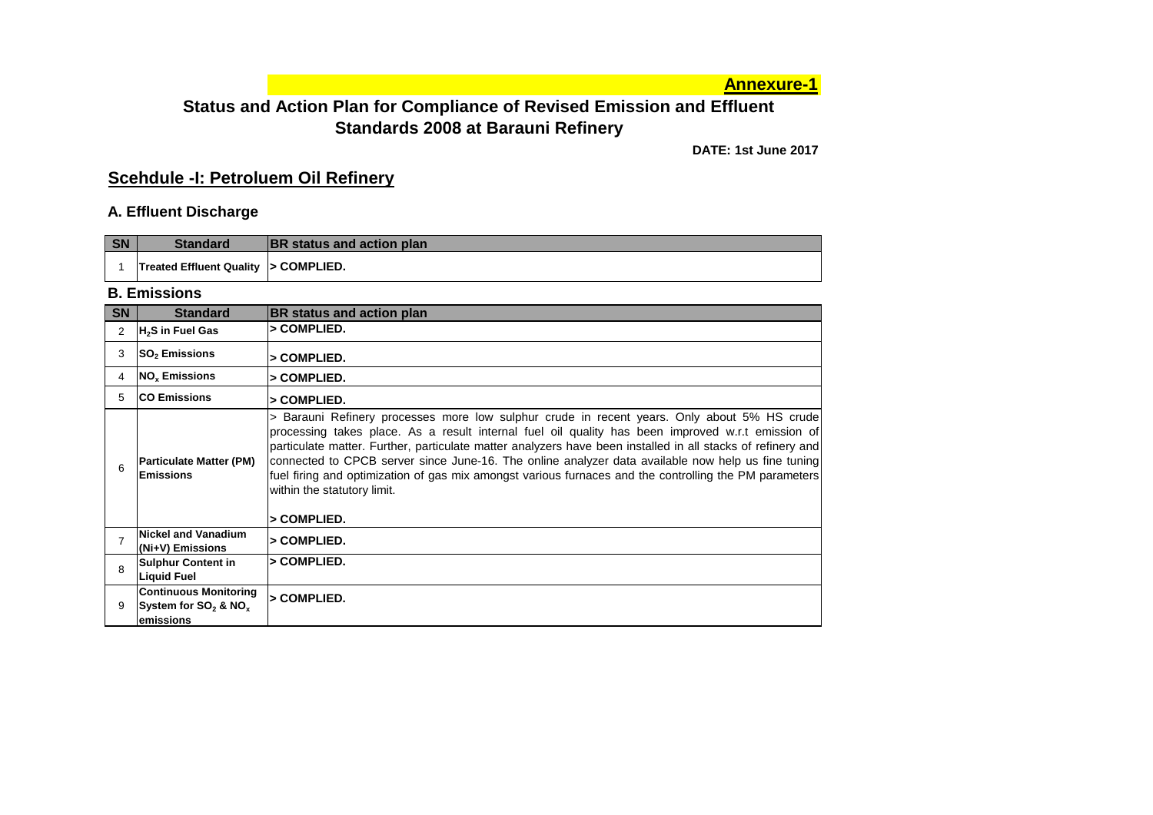**Annexure-1**

### **Status and Action Plan for Compliance of Revised Emission and Effluent Standards 2008 at Barauni Refinery**

**DATE: 1st June 2017**

### **Scehdule -I: Petroluem Oil Refinery**

#### **A. Effluent Discharge**

| SN | <b>Standard</b>                      | <b>BR</b> status and action plan |
|----|--------------------------------------|----------------------------------|
|    | Treated Effluent Quality > COMPLIED. |                                  |

#### **B. Emissions**

| <b>SN</b> | <b>Standard</b>                                                     | BR status and action plan                                                                                                                                                                                                                                                                                                                                                                                                                                                                                                                                                     |
|-----------|---------------------------------------------------------------------|-------------------------------------------------------------------------------------------------------------------------------------------------------------------------------------------------------------------------------------------------------------------------------------------------------------------------------------------------------------------------------------------------------------------------------------------------------------------------------------------------------------------------------------------------------------------------------|
| 2         | H <sub>2</sub> S in Fuel Gas                                        | > COMPLIED.                                                                                                                                                                                                                                                                                                                                                                                                                                                                                                                                                                   |
| 3         | <b>SO<sub>2</sub></b> Emissions                                     | > COMPLIED.                                                                                                                                                                                                                                                                                                                                                                                                                                                                                                                                                                   |
| 4         | <b>NO<sub>v</sub></b> Emissions                                     | > COMPLIED.                                                                                                                                                                                                                                                                                                                                                                                                                                                                                                                                                                   |
| 5         | <b>ICO Emissions</b>                                                | > COMPLIED.                                                                                                                                                                                                                                                                                                                                                                                                                                                                                                                                                                   |
|           | <b>Particulate Matter (PM)</b><br><b>Emissions</b>                  | > Barauni Refinery processes more low sulphur crude in recent years. Only about 5% HS crude<br>processing takes place. As a result internal fuel oil quality has been improved w.r.t emission of<br>particulate matter. Further, particulate matter analyzers have been installed in all stacks of refinery and<br>connected to CPCB server since June-16. The online analyzer data available now help us fine tuning<br>fuel firing and optimization of gas mix amongst various furnaces and the controlling the PM parameters<br>within the statutory limit.<br>> COMPLIED. |
|           | Nickel and Vanadium<br>(Ni+V) Emissions                             | > COMPLIED.                                                                                                                                                                                                                                                                                                                                                                                                                                                                                                                                                                   |
| 8         | <b>Sulphur Content in</b><br><b>Liquid Fuel</b>                     | > COMPLIED.                                                                                                                                                                                                                                                                                                                                                                                                                                                                                                                                                                   |
| 9         | <b>Continuous Monitoring</b><br>System for $SO_2$ & NO <sub>x</sub> | > COMPLIED.                                                                                                                                                                                                                                                                                                                                                                                                                                                                                                                                                                   |
|           | <b>emissions</b>                                                    |                                                                                                                                                                                                                                                                                                                                                                                                                                                                                                                                                                               |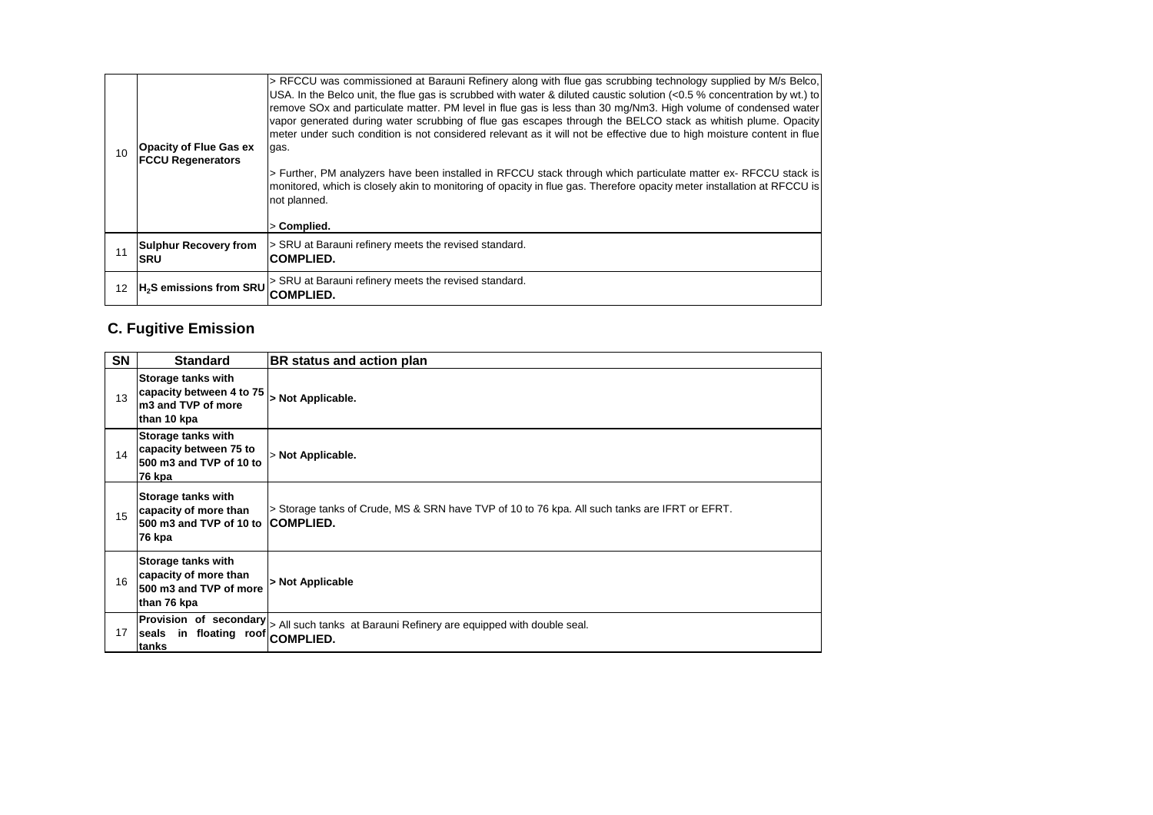| 10 <sup>1</sup> | <b>Opacity of Flue Gas ex</b><br><b>FCCU Regenerators</b> | USA. In the Belco unit, the flue gas is scrubbed with water & diluted caustic solution (<0.5 % concentration by wt.) to<br>remove SOx and particulate matter. PM level in flue gas is less than 30 mg/Nm3. High volume of condensed water<br>vapor generated during water scrubbing of flue gas escapes through the BELCO stack as whitish plume. Opacity<br>meter under such condition is not considered relevant as it will not be effective due to high moisture content in flue<br>gas.<br>> Further, PM analyzers have been installed in RFCCU stack through which particulate matter ex- RFCCU stack is<br>monitored, which is closely akin to monitoring of opacity in flue gas. Therefore opacity meter installation at RFCCU is<br>not planned.<br>> Complied. |
|-----------------|-----------------------------------------------------------|-------------------------------------------------------------------------------------------------------------------------------------------------------------------------------------------------------------------------------------------------------------------------------------------------------------------------------------------------------------------------------------------------------------------------------------------------------------------------------------------------------------------------------------------------------------------------------------------------------------------------------------------------------------------------------------------------------------------------------------------------------------------------|
| 11              | <b>Sulphur Recovery from</b><br>ISRU                      | > SRU at Barauni refinery meets the revised standard.<br><b>ICOMPLIED.</b>                                                                                                                                                                                                                                                                                                                                                                                                                                                                                                                                                                                                                                                                                              |
| 12              | H <sub>2</sub> S emissions from SRU                       | > SRU at Barauni refinery meets the revised standard.<br><b>COMPLIED.</b>                                                                                                                                                                                                                                                                                                                                                                                                                                                                                                                                                                                                                                                                                               |

## **C. Fugitive Emission**

| <b>SN</b> | <b>Standard</b>                                                                            | BR status and action plan                                                                                                |
|-----------|--------------------------------------------------------------------------------------------|--------------------------------------------------------------------------------------------------------------------------|
| 13        | Storage tanks with<br>capacity between 4 to 75<br>m3 and TVP of more<br>than 10 kpa        | > Not Applicable.                                                                                                        |
| 14        | Storage tanks with<br>capacity between 75 to<br>500 m3 and TVP of 10 to<br>76 kpa          | > Not Applicable.                                                                                                        |
| 15        | Storage tanks with<br>capacity of more than<br>500 m3 and TVP of 10 to COMPLIED.<br>76 kpa | > Storage tanks of Crude, MS & SRN have TVP of 10 to 76 kpa. All such tanks are IFRT or EFRT.                            |
| 16        | Storage tanks with<br>capacity of more than<br>500 m3 and TVP of more<br>than 76 kpa       | > Not Applicable                                                                                                         |
| 17        | seals in floating roof COMPLIED.<br>tanks                                                  | $\left \text{Provision of secondary}\right _{\text{> All such tanks at Barauni Refinery are equipped with double seal.}$ |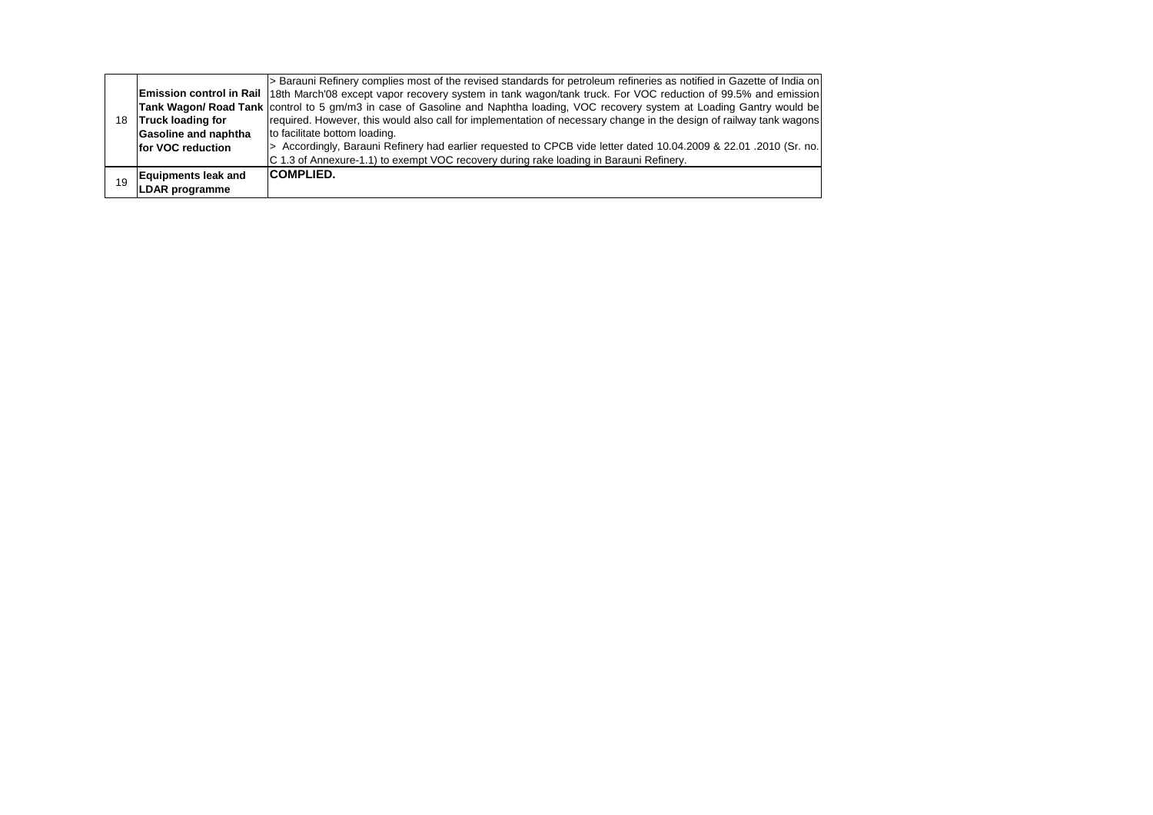| <b>Truck loading for</b>                     | Tank Wagon/ Road Tank   control to 5 gm/m3 in case of Gasoline and Naphtha loading, VOC recovery system at Loading Gantry would be<br>required. However, this would also call for implementation of necessary change in the design of railway tank wagons |
|----------------------------------------------|-----------------------------------------------------------------------------------------------------------------------------------------------------------------------------------------------------------------------------------------------------------|
|                                              | to facilitate bottom loading.                                                                                                                                                                                                                             |
|                                              | > Accordingly, Barauni Refinery had earlier requested to CPCB vide letter dated 10.04.2009 & 22.01.2010 (Sr. no.<br>C 1.3 of Annexure-1.1) to exempt VOC recovery during rake loading in Barauni Refinery.                                                |
| <b>Equipments leak and</b><br>LDAR programme | <b>COMPLIED.</b>                                                                                                                                                                                                                                          |
|                                              | Gasoline and naphtha<br>for VOC reduction                                                                                                                                                                                                                 |